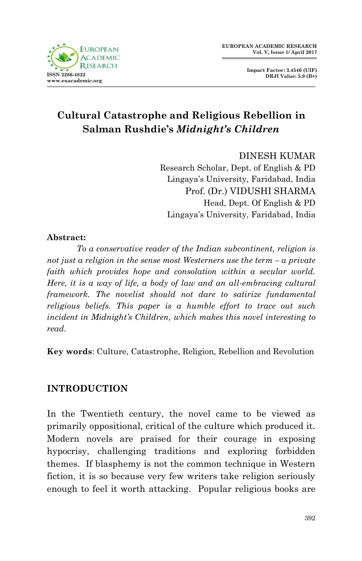

**Impact Factor: 3.4546 (UIF) DRJI Value: 5.9 (B+)**

## **Cultural Catastrophe and Religious Rebellion in Salman Rushdie's** *Midnight's Children*

DINESH KUMAR

Research Scholar, Dept. of English & PD Lingaya"s University, Faridabad, India Prof. (Dr.) VIDUSHI SHARMA Head, Dept. Of English & PD Lingaya"s University, Faridabad, India

## **Abstract:**

*To a conservative reader of the Indian subcontinent, religion is not just a religion in the sense most Westerners use the term – a private faith which provides hope and consolation within a secular world. Here, it is a way of life, a body of law and an all-embracing cultural framework. The novelist should not dare to satirize fundamental religious beliefs. This paper is a humble effort to trace out such incident in Midnight's Children, which makes this novel interesting to read.*

**Key words**: Culture, Catastrophe, Religion, Rebellion and Revolution

## **INTRODUCTION**

In the Twentieth century, the novel came to be viewed as primarily oppositional, critical of the culture which produced it. Modern novels are praised for their courage in exposing hypocrisy, challenging traditions and exploring forbidden themes. If blasphemy is not the common technique in Western fiction, it is so because very few writers take religion seriously enough to feel it worth attacking. Popular religious books are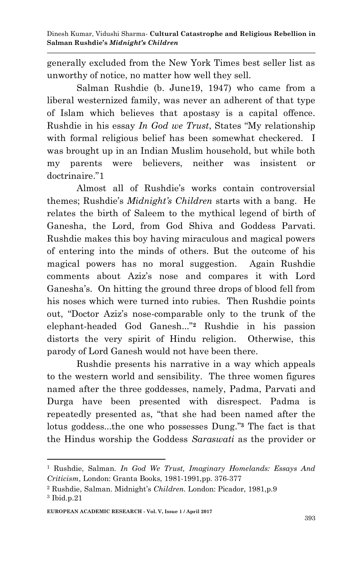generally excluded from the New York Times best seller list as unworthy of notice, no matter how well they sell.

Salman Rushdie (b. June19, 1947) who came from a liberal westernized family, was never an adherent of that type of Islam which believes that apostasy is a capital offence. Rushdie in his essay *In God we Trust*, States "My relationship with formal religious belief has been somewhat checkered. I was brought up in an Indian Muslim household, but while both my parents were believers, neither was insistent or doctrinaire."1

Almost all of Rushdie"s works contain controversial themes; Rushdie"s *Midnight's Children* starts with a bang. He relates the birth of Saleem to the mythical legend of birth of Ganesha, the Lord, from God Shiva and Goddess Parvati. Rushdie makes this boy having miraculous and magical powers of entering into the minds of others. But the outcome of his magical powers has no moral suggestion. Again Rushdie comments about Aziz"s nose and compares it with Lord Ganesha's. On hitting the ground three drops of blood fell from his noses which were turned into rubies. Then Rushdie points out, "Doctor Aziz"s nose-comparable only to the trunk of the elephant-headed God Ganesh..."**<sup>2</sup>** Rushdie in his passion distorts the very spirit of Hindu religion. Otherwise, this parody of Lord Ganesh would not have been there.

Rushdie presents his narrative in a way which appeals to the western world and sensibility. The three women figures named after the three goddesses, namely, Padma, Parvati and Durga have been presented with disrespect. Padma is repeatedly presented as, "that she had been named after the lotus goddess...the one who possesses Dung." **<sup>3</sup>** The fact is that the Hindus worship the Goddess *Saraswati* as the provider or

<sup>1</sup> <sup>1</sup> Rushdie, Salman. *In God We Trust, Imaginary Homelands: Essays And Criticism*, London: Granta Books, 1981-1991,pp. 376-377

<sup>2</sup> Rushdie, Salman. Midnight"s *Children.* London: Picador, 1981,p.9 <sup>3</sup> Ibid.p.21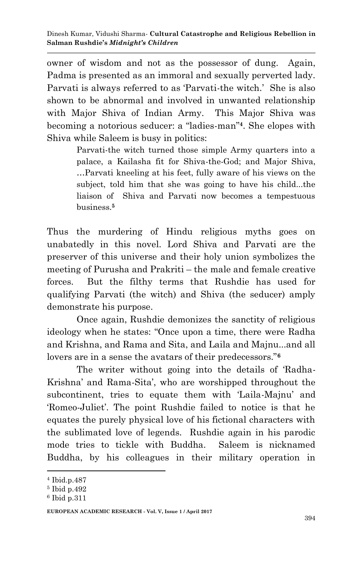owner of wisdom and not as the possessor of dung. Again, Padma is presented as an immoral and sexually perverted lady. Parvati is always referred to as 'Parvati-the witch.' She is also shown to be abnormal and involved in unwanted relationship with Major Shiva of Indian Army. This Major Shiva was becoming a notorious seducer: a "ladies-man"**4**. She elopes with Shiva while Saleem is busy in politics:

> Parvati-the witch turned those simple Army quarters into a palace, a Kailasha fit for Shiva-the-God; and Major Shiva, …Parvati kneeling at his feet, fully aware of his views on the subject, told him that she was going to have his child...the liaison of Shiva and Parvati now becomes a tempestuous business.**<sup>5</sup>**

Thus the murdering of Hindu religious myths goes on unabatedly in this novel. Lord Shiva and Parvati are the preserver of this universe and their holy union symbolizes the meeting of Purusha and Prakriti – the male and female creative forces. But the filthy terms that Rushdie has used for qualifying Parvati (the witch) and Shiva (the seducer) amply demonstrate his purpose.

Once again, Rushdie demonizes the sanctity of religious ideology when he states: "Once upon a time, there were Radha and Krishna, and Rama and Sita, and Laila and Majnu...and all lovers are in a sense the avatars of their predecessors."**<sup>6</sup>**

The writer without going into the details of "Radha-Krishna' and Rama-Sita', who are worshipped throughout the subcontinent, tries to equate them with 'Laila-Majnu' and "Romeo-Juliet". The point Rushdie failed to notice is that he equates the purely physical love of his fictional characters with the sublimated love of legends. Rushdie again in his parodic mode tries to tickle with Buddha. Saleem is nicknamed Buddha, by his colleagues in their military operation in

<sup>1</sup> <sup>4</sup> Ibid.p.487

<sup>5</sup> Ibid p.492

<sup>6</sup> Ibid p.311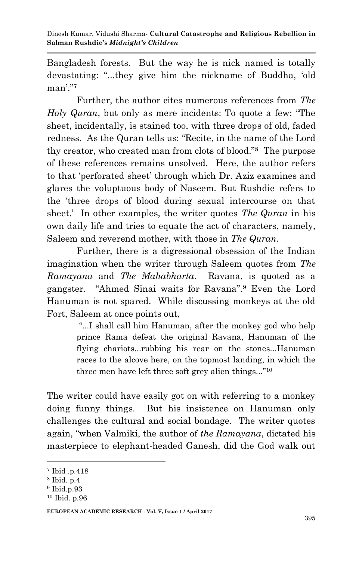Dinesh Kumar, Vidushi Sharma*-* **Cultural Catastrophe and Religious Rebellion in Salman Rushdie's** *Midnight's Children*

Bangladesh forests. But the way he is nick named is totally devastating: "...they give him the nickname of Buddha, "old man"."**<sup>7</sup>**

Further, the author cites numerous references from *The Holy Quran*, but only as mere incidents: To quote a few: "The sheet, incidentally, is stained too, with three drops of old, faded redness. As the Quran tells us: "Recite, in the name of the Lord thy creator, who created man from clots of blood."**<sup>8</sup>** The purpose of these references remains unsolved. Here, the author refers to that "perforated sheet" through which Dr. Aziz examines and glares the voluptuous body of Naseem. But Rushdie refers to the "three drops of blood during sexual intercourse on that sheet." In other examples, the writer quotes *The Quran* in his own daily life and tries to equate the act of characters, namely, Saleem and reverend mother, with those in *The Quran*.

Further, there is a digressional obsession of the Indian imagination when the writer through Saleem quotes from *The Ramayana* and *The Mahabharta*. Ravana, is quoted as a gangster. "Ahmed Sinai waits for Ravana".**<sup>9</sup>** Even the Lord Hanuman is not spared. While discussing monkeys at the old Fort, Saleem at once points out,

> "...I shall call him Hanuman, after the monkey god who help prince Rama defeat the original Ravana, Hanuman of the flying chariots...rubbing his rear on the stones...Hanuman races to the alcove here, on the topmost landing, in which the three men have left three soft grey alien things..."<sup>10</sup>

The writer could have easily got on with referring to a monkey doing funny things. But his insistence on Hanuman only challenges the cultural and social bondage. The writer quotes again, "when Valmiki, the author of *the Ramayana*, dictated his masterpiece to elephant-headed Ganesh, did the God walk out

1

<sup>7</sup> Ibid .p.418

<sup>8</sup> Ibid. p.4

<sup>9</sup> Ibid.p.93

<sup>10</sup> Ibid. p.96

**EUROPEAN ACADEMIC RESEARCH - Vol. V, Issue 1 / April 2017**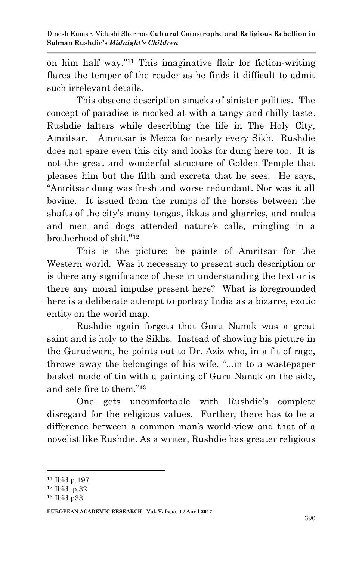on him half way."**<sup>11</sup>** This imaginative flair for fiction-writing flares the temper of the reader as he finds it difficult to admit such irrelevant details.

This obscene description smacks of sinister politics. The concept of paradise is mocked at with a tangy and chilly taste. Rushdie falters while describing the life in The Holy City, Amritsar. Amritsar is Mecca for nearly every Sikh. Rushdie does not spare even this city and looks for dung here too. It is not the great and wonderful structure of Golden Temple that pleases him but the filth and excreta that he sees. He says, "Amritsar dung was fresh and worse redundant. Nor was it all bovine. It issued from the rumps of the horses between the shafts of the city's many tongas, ikkas and gharries, and mules and men and dogs attended nature's calls, mingling in a brotherhood of shit."**<sup>12</sup>**

This is the picture; he paints of Amritsar for the Western world. Was it necessary to present such description or is there any significance of these in understanding the text or is there any moral impulse present here? What is foregrounded here is a deliberate attempt to portray India as a bizarre, exotic entity on the world map.

Rushdie again forgets that Guru Nanak was a great saint and is holy to the Sikhs. Instead of showing his picture in the Gurudwara, he points out to Dr. Aziz who, in a fit of rage, throws away the belongings of his wife, "...in to a wastepaper basket made of tin with a painting of Guru Nanak on the side, and sets fire to them."**<sup>13</sup>**

One gets uncomfortable with Rushdie's complete disregard for the religious values. Further, there has to be a difference between a common man's world-view and that of a novelist like Rushdie. As a writer, Rushdie has greater religious

<sup>1</sup> <sup>11</sup> Ibid.p.197

<sup>12</sup> Ibid. p.32

<sup>13</sup> Ibid.p33

**EUROPEAN ACADEMIC RESEARCH - Vol. V, Issue 1 / April 2017**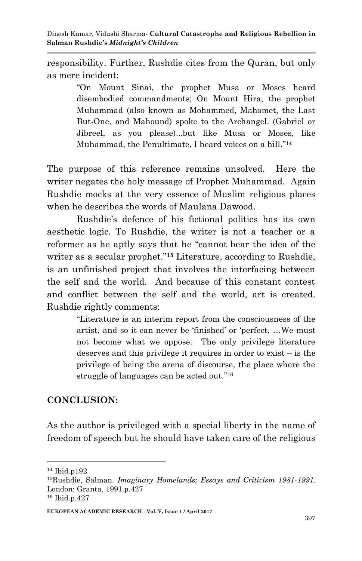responsibility. Further, Rushdie cites from the Quran, but only as mere incident:

> "On Mount Sinai, the prophet Musa or Moses heard disembodied commandments; On Mount Hira, the prophet Muhammad (also known as Mohammed, Mahomet, the Last But-One, and Mahound) spoke to the Archangel. (Gabriel or Jibreel, as you please)...but like Musa or Moses, like Muhammad, the Penultimate, I heard voices on a hill." **14**

The purpose of this reference remains unsolved. Here the writer negates the holy message of Prophet Muhammad. Again Rushdie mocks at the very essence of Muslim religious places when he describes the words of Maulana Dawood.

Rushdie"s defence of his fictional politics has its own aesthetic logic. To Rushdie, the writer is not a teacher or a reformer as he aptly says that he "cannot bear the idea of the writer as a secular prophet."**<sup>15</sup>** Literature, according to Rushdie, is an unfinished project that involves the interfacing between the self and the world. And because of this constant contest and conflict between the self and the world, art is created. Rushdie rightly comments:

> "Literature is an interim report from the consciousness of the artist, and so it can never be "finished" or "perfect, …We must not become what we oppose. The only privilege literature deserves and this privilege it requires in order to exist – is the privilege of being the arena of discourse, the place where the struggle of languages can be acted out." 16

## **CONCLUSION:**

As the author is privileged with a special liberty in the name of freedom of speech but he should have taken care of the religious

1

<sup>14</sup> Ibid.p192

<sup>15</sup>Rushdie, Salman. *Imaginary Homelands; Essays and Criticism 1981-1991.*  London: Granta, 1991,p.427

<sup>16</sup> Ibid.p.427